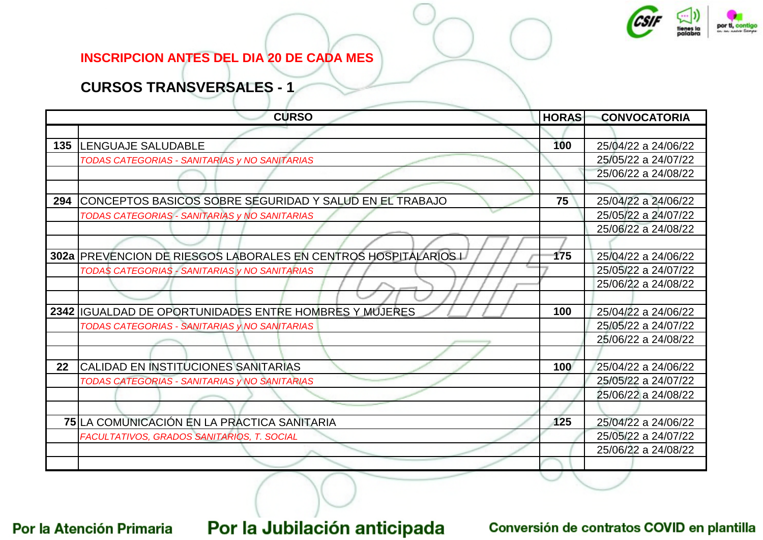

#### **INSCRIPCION ANTES DEL DIA 20 DE CADA MES**

### **CURSOS TRANSVERSALES - 1**

|     | <b>CURSO</b>                                                    | <b>HORAS</b> | <b>CONVOCATORIA</b> |
|-----|-----------------------------------------------------------------|--------------|---------------------|
|     |                                                                 |              |                     |
| 135 | <b>ILENGUAJE SALUDABLE</b>                                      | 100          | 25/04/22 a 24/06/22 |
|     | TODAS CATEGORIAS - SANITARIAS y NO SANITARIAS                   |              | 25/05/22 a 24/07/22 |
|     |                                                                 |              | 25/06/22 a 24/08/22 |
|     |                                                                 |              |                     |
| 294 | CONCEPTOS BASICOS SOBRE SEGURIDAD Y SALUD EN EL TRABAJO         | 75           | 25/04/22 a 24/06/22 |
|     | TODAS CATEGORIAS - SANITARIAS y NO SANITARIAS                   |              | 25/05/22 a 24/07/22 |
|     |                                                                 |              | 25/06/22 a 24/08/22 |
|     |                                                                 |              |                     |
|     | 302a PREVENCION DE RIESGOS LABORALES EN CENTROS HOSPITALARIOS L | 175          | 25/04/22 a 24/06/22 |
|     | TODAS CATEGORIAS - SANITARIAS y NO SANITARIAS                   |              | 25/05/22 a 24/07/22 |
|     |                                                                 |              | 25/06/22 a 24/08/22 |
|     |                                                                 |              |                     |
|     | 2342 IGUALDAD DE OPORTUNIDADES ENTRE HOMBRES Y MUJERES          | 100          | 25/04/22 a 24/06/22 |
|     | TODAS CATEGORIAS - SANITARIAS y NO SANITARIAS                   |              | 25/05/22 a 24/07/22 |
|     |                                                                 |              | 25/06/22 a 24/08/22 |
|     |                                                                 |              |                     |
| 22  | CALIDAD EN INSTITUCIONES SANITARIAS                             | 100          | 25/04/22 a 24/06/22 |
|     | TODAS CATEGORIAS - SANITARIAS y NO SANITARIAS                   |              | 25/05/22 a 24/07/22 |
|     |                                                                 |              | 25/06/22 a 24/08/22 |
|     |                                                                 |              |                     |
|     | 75 LA COMUNICACIÓN EN LA PRACTICA SANITARIA                     | 125          | 25/04/22 a 24/06/22 |
|     | FACULTATIVOS, GRADOS SANITARIOS, T. SOCIAL                      |              | 25/05/22 a 24/07/22 |
|     |                                                                 |              | 25/06/22 a 24/08/22 |
|     |                                                                 |              |                     |

Por la Atención Primaria

# Por la Jubilación anticipada

#### Conversión de contratos COVID en plantilla